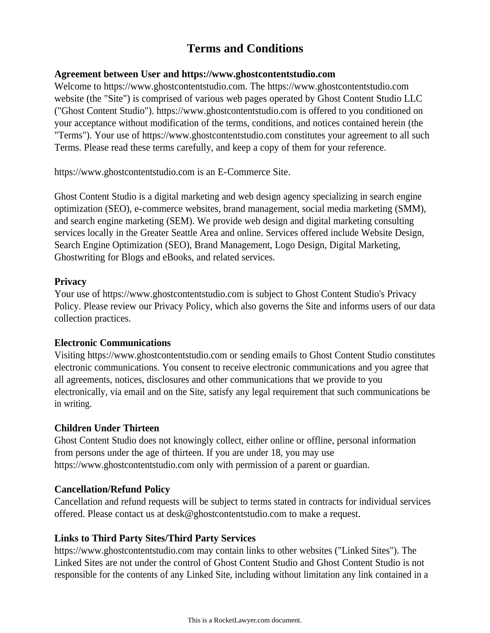# **Terms and Conditions**

## **Agreement between User and https://www.ghostcontentstudio.com**

Welcome to https://www.ghostcontentstudio.com. The https://www.ghostcontentstudio.com website (the "Site") is comprised of various web pages operated by Ghost Content Studio LLC ("Ghost Content Studio"). https://www.ghostcontentstudio.com is offered to you conditioned on your acceptance without modification of the terms, conditions, and notices contained herein (the "Terms"). Your use of https://www.ghostcontentstudio.com constitutes your agreement to all such Terms. Please read these terms carefully, and keep a copy of them for your reference.

https://www.ghostcontentstudio.com is an E-Commerce Site.

Ghost Content Studio is a digital marketing and web design agency specializing in search engine optimization (SEO), e-commerce websites, brand management, social media marketing (SMM), and search engine marketing (SEM). We provide web design and digital marketing consulting services locally in the Greater Seattle Area and online. Services offered include Website Design, Search Engine Optimization (SEO), Brand Management, Logo Design, Digital Marketing, Ghostwriting for Blogs and eBooks, and related services.

## **Privacy**

Your use of https://www.ghostcontentstudio.com is subject to Ghost Content Studio's Privacy Policy. Please review our Privacy Policy, which also governs the Site and informs users of our data collection practices.

# **Electronic Communications**

Visiting https://www.ghostcontentstudio.com or sending emails to Ghost Content Studio constitutes electronic communications. You consent to receive electronic communications and you agree that all agreements, notices, disclosures and other communications that we provide to you electronically, via email and on the Site, satisfy any legal requirement that such communications be in writing.

# **Children Under Thirteen**

Ghost Content Studio does not knowingly collect, either online or offline, personal information from persons under the age of thirteen. If you are under 18, you may use https://www.ghostcontentstudio.com only with permission of a parent or guardian.

# **Cancellation/Refund Policy**

Cancellation and refund requests will be subject to terms stated in contracts for individual services offered. Please contact us at desk@ghostcontentstudio.com to make a request.

# **Links to Third Party Sites/Third Party Services**

https://www.ghostcontentstudio.com may contain links to other websites ("Linked Sites"). The Linked Sites are not under the control of Ghost Content Studio and Ghost Content Studio is not responsible for the contents of any Linked Site, including without limitation any link contained in a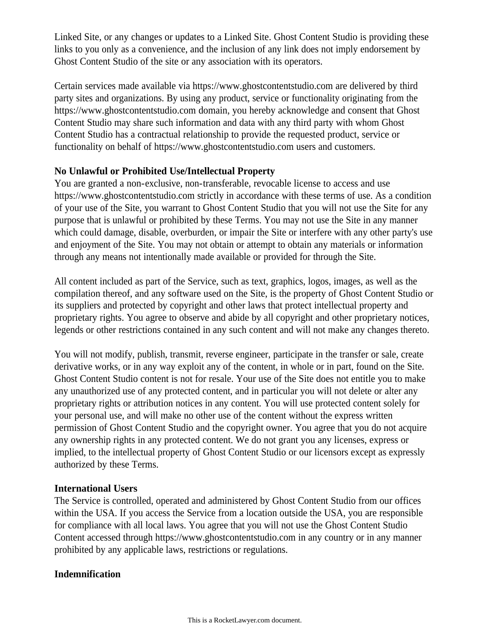Linked Site, or any changes or updates to a Linked Site. Ghost Content Studio is providing these links to you only as a convenience, and the inclusion of any link does not imply endorsement by Ghost Content Studio of the site or any association with its operators.

Certain services made available via https://www.ghostcontentstudio.com are delivered by third party sites and organizations. By using any product, service or functionality originating from the https://www.ghostcontentstudio.com domain, you hereby acknowledge and consent that Ghost Content Studio may share such information and data with any third party with whom Ghost Content Studio has a contractual relationship to provide the requested product, service or functionality on behalf of https://www.ghostcontentstudio.com users and customers.

## **No Unlawful or Prohibited Use/Intellectual Property**

You are granted a non-exclusive, non-transferable, revocable license to access and use https://www.ghostcontentstudio.com strictly in accordance with these terms of use. As a condition of your use of the Site, you warrant to Ghost Content Studio that you will not use the Site for any purpose that is unlawful or prohibited by these Terms. You may not use the Site in any manner which could damage, disable, overburden, or impair the Site or interfere with any other party's use and enjoyment of the Site. You may not obtain or attempt to obtain any materials or information through any means not intentionally made available or provided for through the Site.

All content included as part of the Service, such as text, graphics, logos, images, as well as the compilation thereof, and any software used on the Site, is the property of Ghost Content Studio or its suppliers and protected by copyright and other laws that protect intellectual property and proprietary rights. You agree to observe and abide by all copyright and other proprietary notices, legends or other restrictions contained in any such content and will not make any changes thereto.

You will not modify, publish, transmit, reverse engineer, participate in the transfer or sale, create derivative works, or in any way exploit any of the content, in whole or in part, found on the Site. Ghost Content Studio content is not for resale. Your use of the Site does not entitle you to make any unauthorized use of any protected content, and in particular you will not delete or alter any proprietary rights or attribution notices in any content. You will use protected content solely for your personal use, and will make no other use of the content without the express written permission of Ghost Content Studio and the copyright owner. You agree that you do not acquire any ownership rights in any protected content. We do not grant you any licenses, express or implied, to the intellectual property of Ghost Content Studio or our licensors except as expressly authorized by these Terms.

#### **International Users**

The Service is controlled, operated and administered by Ghost Content Studio from our offices within the USA. If you access the Service from a location outside the USA, you are responsible for compliance with all local laws. You agree that you will not use the Ghost Content Studio Content accessed through https://www.ghostcontentstudio.com in any country or in any manner prohibited by any applicable laws, restrictions or regulations.

# **Indemnification**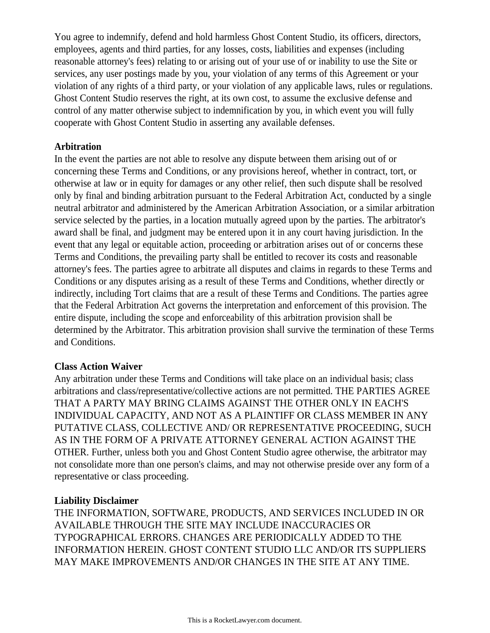You agree to indemnify, defend and hold harmless Ghost Content Studio, its officers, directors, employees, agents and third parties, for any losses, costs, liabilities and expenses (including reasonable attorney's fees) relating to or arising out of your use of or inability to use the Site or services, any user postings made by you, your violation of any terms of this Agreement or your violation of any rights of a third party, or your violation of any applicable laws, rules or regulations. Ghost Content Studio reserves the right, at its own cost, to assume the exclusive defense and control of any matter otherwise subject to indemnification by you, in which event you will fully cooperate with Ghost Content Studio in asserting any available defenses.

#### **Arbitration**

In the event the parties are not able to resolve any dispute between them arising out of or concerning these Terms and Conditions, or any provisions hereof, whether in contract, tort, or otherwise at law or in equity for damages or any other relief, then such dispute shall be resolved only by final and binding arbitration pursuant to the Federal Arbitration Act, conducted by a single neutral arbitrator and administered by the American Arbitration Association, or a similar arbitration service selected by the parties, in a location mutually agreed upon by the parties. The arbitrator's award shall be final, and judgment may be entered upon it in any court having jurisdiction. In the event that any legal or equitable action, proceeding or arbitration arises out of or concerns these Terms and Conditions, the prevailing party shall be entitled to recover its costs and reasonable attorney's fees. The parties agree to arbitrate all disputes and claims in regards to these Terms and Conditions or any disputes arising as a result of these Terms and Conditions, whether directly or indirectly, including Tort claims that are a result of these Terms and Conditions. The parties agree that the Federal Arbitration Act governs the interpretation and enforcement of this provision. The entire dispute, including the scope and enforceability of this arbitration provision shall be determined by the Arbitrator. This arbitration provision shall survive the termination of these Terms and Conditions.

# **Class Action Waiver**

Any arbitration under these Terms and Conditions will take place on an individual basis; class arbitrations and class/representative/collective actions are not permitted. THE PARTIES AGREE THAT A PARTY MAY BRING CLAIMS AGAINST THE OTHER ONLY IN EACH'S INDIVIDUAL CAPACITY, AND NOT AS A PLAINTIFF OR CLASS MEMBER IN ANY PUTATIVE CLASS, COLLECTIVE AND/ OR REPRESENTATIVE PROCEEDING, SUCH AS IN THE FORM OF A PRIVATE ATTORNEY GENERAL ACTION AGAINST THE OTHER. Further, unless both you and Ghost Content Studio agree otherwise, the arbitrator may not consolidate more than one person's claims, and may not otherwise preside over any form of a representative or class proceeding.

# **Liability Disclaimer**

THE INFORMATION, SOFTWARE, PRODUCTS, AND SERVICES INCLUDED IN OR AVAILABLE THROUGH THE SITE MAY INCLUDE INACCURACIES OR TYPOGRAPHICAL ERRORS. CHANGES ARE PERIODICALLY ADDED TO THE INFORMATION HEREIN. GHOST CONTENT STUDIO LLC AND/OR ITS SUPPLIERS MAY MAKE IMPROVEMENTS AND/OR CHANGES IN THE SITE AT ANY TIME.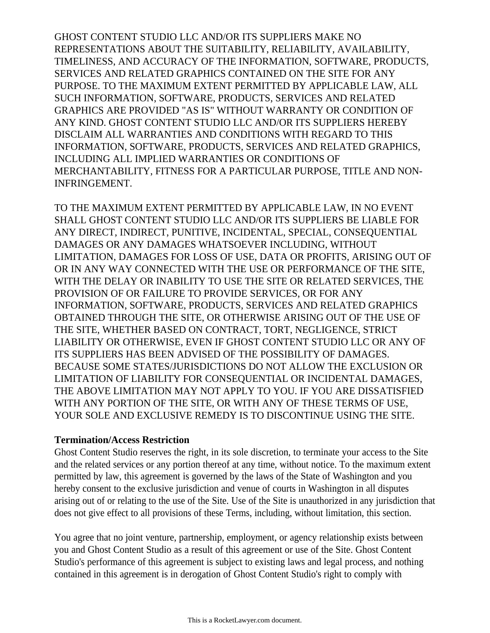GHOST CONTENT STUDIO LLC AND/OR ITS SUPPLIERS MAKE NO REPRESENTATIONS ABOUT THE SUITABILITY, RELIABILITY, AVAILABILITY, TIMELINESS, AND ACCURACY OF THE INFORMATION, SOFTWARE, PRODUCTS, SERVICES AND RELATED GRAPHICS CONTAINED ON THE SITE FOR ANY PURPOSE. TO THE MAXIMUM EXTENT PERMITTED BY APPLICABLE LAW, ALL SUCH INFORMATION, SOFTWARE, PRODUCTS, SERVICES AND RELATED GRAPHICS ARE PROVIDED "AS IS" WITHOUT WARRANTY OR CONDITION OF ANY KIND. GHOST CONTENT STUDIO LLC AND/OR ITS SUPPLIERS HEREBY DISCLAIM ALL WARRANTIES AND CONDITIONS WITH REGARD TO THIS INFORMATION, SOFTWARE, PRODUCTS, SERVICES AND RELATED GRAPHICS, INCLUDING ALL IMPLIED WARRANTIES OR CONDITIONS OF MERCHANTABILITY, FITNESS FOR A PARTICULAR PURPOSE, TITLE AND NON-INFRINGEMENT.

TO THE MAXIMUM EXTENT PERMITTED BY APPLICABLE LAW, IN NO EVENT SHALL GHOST CONTENT STUDIO LLC AND/OR ITS SUPPLIERS BE LIABLE FOR ANY DIRECT, INDIRECT, PUNITIVE, INCIDENTAL, SPECIAL, CONSEQUENTIAL DAMAGES OR ANY DAMAGES WHATSOEVER INCLUDING, WITHOUT LIMITATION, DAMAGES FOR LOSS OF USE, DATA OR PROFITS, ARISING OUT OF OR IN ANY WAY CONNECTED WITH THE USE OR PERFORMANCE OF THE SITE, WITH THE DELAY OR INABILITY TO USE THE SITE OR RELATED SERVICES, THE PROVISION OF OR FAILURE TO PROVIDE SERVICES, OR FOR ANY INFORMATION, SOFTWARE, PRODUCTS, SERVICES AND RELATED GRAPHICS OBTAINED THROUGH THE SITE, OR OTHERWISE ARISING OUT OF THE USE OF THE SITE, WHETHER BASED ON CONTRACT, TORT, NEGLIGENCE, STRICT LIABILITY OR OTHERWISE, EVEN IF GHOST CONTENT STUDIO LLC OR ANY OF ITS SUPPLIERS HAS BEEN ADVISED OF THE POSSIBILITY OF DAMAGES. BECAUSE SOME STATES/JURISDICTIONS DO NOT ALLOW THE EXCLUSION OR LIMITATION OF LIABILITY FOR CONSEQUENTIAL OR INCIDENTAL DAMAGES, THE ABOVE LIMITATION MAY NOT APPLY TO YOU. IF YOU ARE DISSATISFIED WITH ANY PORTION OF THE SITE, OR WITH ANY OF THESE TERMS OF USE, YOUR SOLE AND EXCLUSIVE REMEDY IS TO DISCONTINUE USING THE SITE.

#### **Termination/Access Restriction**

Ghost Content Studio reserves the right, in its sole discretion, to terminate your access to the Site and the related services or any portion thereof at any time, without notice. To the maximum extent permitted by law, this agreement is governed by the laws of the State of Washington and you hereby consent to the exclusive jurisdiction and venue of courts in Washington in all disputes arising out of or relating to the use of the Site. Use of the Site is unauthorized in any jurisdiction that does not give effect to all provisions of these Terms, including, without limitation, this section.

You agree that no joint venture, partnership, employment, or agency relationship exists between you and Ghost Content Studio as a result of this agreement or use of the Site. Ghost Content Studio's performance of this agreement is subject to existing laws and legal process, and nothing contained in this agreement is in derogation of Ghost Content Studio's right to comply with